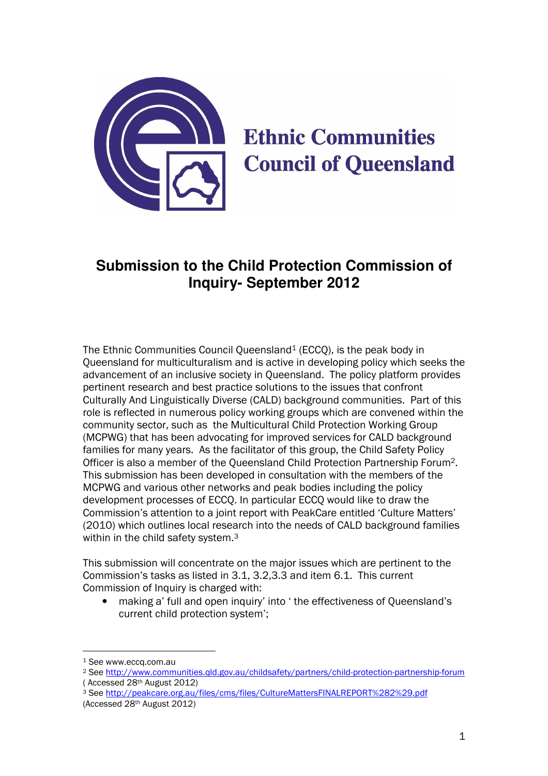

# **Ethnic Communities Council of Queensland**

## **Submission to the Child Protection Commission of Inquiry- September 2012**

The Ethnic Communities Council Queensland<sup>1</sup> (ECCO), is the peak body in Queensland for multiculturalism and is active in developing policy which seeks the advancement of an inclusive society in Queensland. The policy platform provides pertinent research and best practice solutions to the issues that confront Culturally And Linguistically Diverse (CALD) background communities. Part of this role is reflected in numerous policy working groups which are convened within the community sector, such as the Multicultural Child Protection Working Group (MCPWG) that has been advocating for improved services for CALD background families for many years. As the facilitator of this group, the Child Safety Policy Officer is also a member of the Queensland Child Protection Partnership Forum2. This submission has been developed in consultation with the members of the MCPWG and various other networks and peak bodies including the policy development processes of ECCQ. In particular ECCQ would like to draw the Commission's attention to a joint report with PeakCare entitled 'Culture Matters' (2010) which outlines local research into the needs of CALD background families within in the child safety system.<sup>3</sup>

This submission will concentrate on the major issues which are pertinent to the Commission's tasks as listed in 3.1, 3.2,3.3 and item 6.1. This current Commission of Inquiry is charged with:

• making a' full and open inquiry' into ' the effectiveness of Queensland's current child protection system';

<sup>1</sup> See www.eccq.com.au

<sup>2</sup> See http://www.communities.qld.gov.au/childsafety/partners/child-protection-partnership-forum ( Accessed 28th August 2012)

<sup>3</sup> See http://peakcare.org.au/files/cms/files/CultureMattersFINALREPORT%282%29.pdf (Accessed 28th August 2012)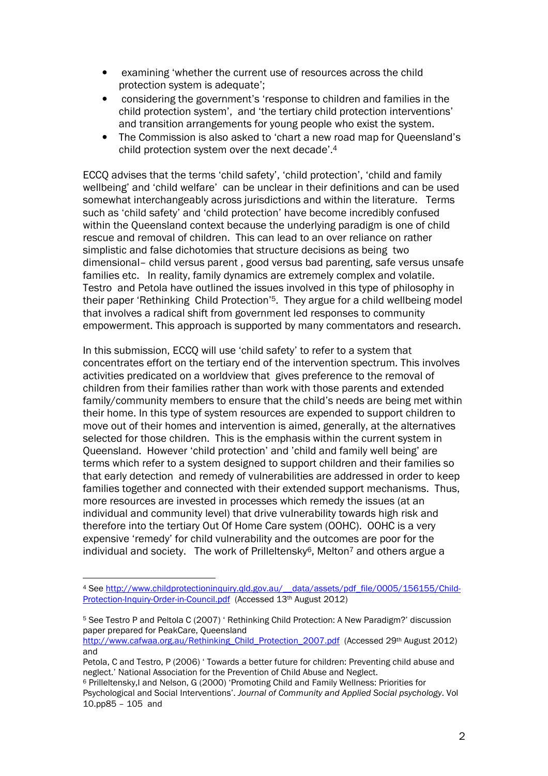- examining 'whether the current use of resources across the child protection system is adequate';
- considering the government's 'response to children and families in the child protection system', and 'the tertiary child protection interventions' and transition arrangements for young people who exist the system.
- The Commission is also asked to 'chart a new road map for Queensland's child protection system over the next decade'.<sup>4</sup>

ECCQ advises that the terms 'child safety', 'child protection', 'child and family wellbeing' and 'child welfare' can be unclear in their definitions and can be used somewhat interchangeably across jurisdictions and within the literature. Terms such as 'child safety' and 'child protection' have become incredibly confused within the Queensland context because the underlying paradigm is one of child rescue and removal of children. This can lead to an over reliance on rather simplistic and false dichotomies that structure decisions as being two dimensional– child versus parent , good versus bad parenting, safe versus unsafe families etc. In reality, family dynamics are extremely complex and volatile. Testro and Petola have outlined the issues involved in this type of philosophy in their paper 'Rethinking Child Protection'5. They argue for a child wellbeing model that involves a radical shift from government led responses to community empowerment. This approach is supported by many commentators and research.

In this submission, ECCQ will use 'child safety' to refer to a system that concentrates effort on the tertiary end of the intervention spectrum. This involves activities predicated on a worldview that gives preference to the removal of children from their families rather than work with those parents and extended family/community members to ensure that the child's needs are being met within their home. In this type of system resources are expended to support children to move out of their homes and intervention is aimed, generally, at the alternatives selected for those children. This is the emphasis within the current system in Queensland. However 'child protection' and 'child and family well being' are terms which refer to a system designed to support children and their families so that early detection and remedy of vulnerabilities are addressed in order to keep families together and connected with their extended support mechanisms. Thus, more resources are invested in processes which remedy the issues (at an individual and community level) that drive vulnerability towards high risk and therefore into the tertiary Out Of Home Care system (OOHC). OOHC is a very expensive 'remedy' for child vulnerability and the outcomes are poor for the individual and society. The work of Prilleltensky<sup>6</sup>, Melton<sup>7</sup> and others argue a

 $\overline{a}$ 4 See http://www.childprotectioninquiry.qld.gov.au/\_\_data/assets/pdf\_file/0005/156155/Child-Protection-Inquiry-Order-in-Council.pdf (Accessed 13th August 2012)

<sup>5</sup> See Testro P and Peltola C (2007) ' Rethinking Child Protection: A New Paradigm?' discussion paper prepared for PeakCare, Queensland

http://www.cafwaa.org.au/Rethinking\_Child\_Protection\_2007.pdf (Accessed 29th August 2012) and

Petola, C and Testro, P (2006) ' Towards a better future for children: Preventing child abuse and neglect.' National Association for the Prevention of Child Abuse and Neglect.

<sup>6</sup> Prilleltensky,I and Nelson, G (2000) 'Promoting Child and Family Wellness: Priorities for Psychological and Social Interventions'. Journal of Community and Applied Social psychology. Vol 10.pp85 – 105 and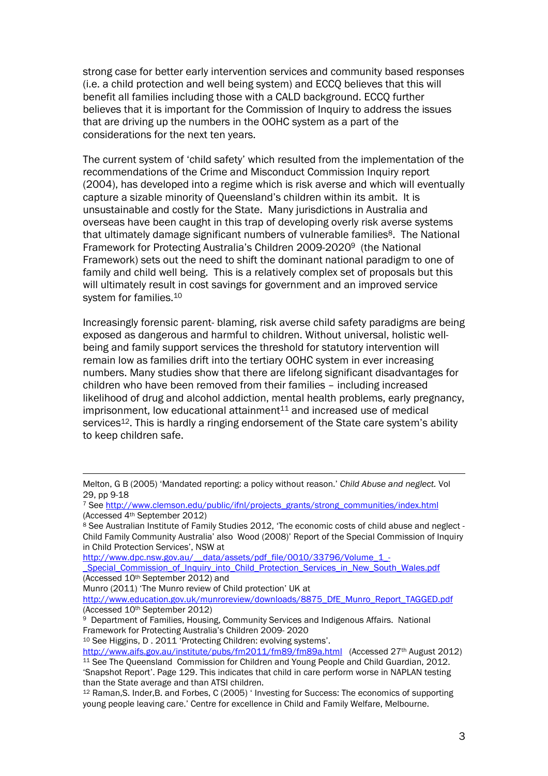strong case for better early intervention services and community based responses (i.e. a child protection and well being system) and ECCQ believes that this will benefit all families including those with a CALD background. ECCQ further believes that it is important for the Commission of Inquiry to address the issues that are driving up the numbers in the OOHC system as a part of the considerations for the next ten years.

The current system of 'child safety' which resulted from the implementation of the recommendations of the Crime and Misconduct Commission Inquiry report (2004), has developed into a regime which is risk averse and which will eventually capture a sizable minority of Queensland's children within its ambit. It is unsustainable and costly for the State. Many jurisdictions in Australia and overseas have been caught in this trap of developing overly risk averse systems that ultimately damage significant numbers of vulnerable families<sup>8</sup>. The National Framework for Protecting Australia's Children 2009-20209 (the National Framework) sets out the need to shift the dominant national paradigm to one of family and child well being. This is a relatively complex set of proposals but this will ultimately result in cost savings for government and an improved service system for families.<sup>10</sup>

Increasingly forensic parent- blaming, risk averse child safety paradigms are being exposed as dangerous and harmful to children. Without universal, holistic wellbeing and family support services the threshold for statutory intervention will remain low as families drift into the tertiary OOHC system in ever increasing numbers. Many studies show that there are lifelong significant disadvantages for children who have been removed from their families – including increased likelihood of drug and alcohol addiction, mental health problems, early pregnancy,  $imprisomment$ , low educational attainment $11$  and increased use of medical services<sup>12</sup>. This is hardly a ringing endorsement of the State care system's ability to keep children safe.

 $\overline{a}$ 

<sup>10</sup> See Higgins, D . 2011 'Protecting Children: evolving systems'.

Melton, G B (2005) 'Mandated reporting: a policy without reason.' Child Abuse and neglect. Vol 29, pp 9-18

<sup>7</sup> See http://www.clemson.edu/public/ifnl/projects\_grants/strong\_communities/index.html (Accessed 4th September 2012)

<sup>8</sup> See Australian Institute of Family Studies 2012, 'The economic costs of child abuse and neglect -Child Family Community Australia' also Wood (2008)' Report of the Special Commission of Inquiry in Child Protection Services', NSW at

http://www.dpc.nsw.gov.au/\_\_data/assets/pdf\_file/0010/33796/Volume\_1\_-

Special Commission of Inquiry into Child Protection Services in New South Wales.pdf (Accessed 10th September 2012) and

Munro (2011) 'The Munro review of Child protection' UK at

http://www.education.gov.uk/munroreview/downloads/8875\_DfE\_Munro\_Report\_TAGGED.pdf (Accessed 10th September 2012)

<sup>9</sup> Department of Families, Housing, Community Services and Indigenous Affairs. National Framework for Protecting Australia's Children 2009- 2020

http://www.aifs.gov.au/institute/pubs/fm2011/fm89/fm89a.html (Accessed 27th August 2012) <sup>11</sup> See The Queensland Commission for Children and Young People and Child Guardian, 2012. 'Snapshot Report'. Page 129. This indicates that child in care perform worse in NAPLAN testing than the State average and than ATSI children.

<sup>12</sup> Raman,S. Inder,B. and Forbes, C (2005) ' Investing for Success: The economics of supporting young people leaving care.' Centre for excellence in Child and Family Welfare, Melbourne.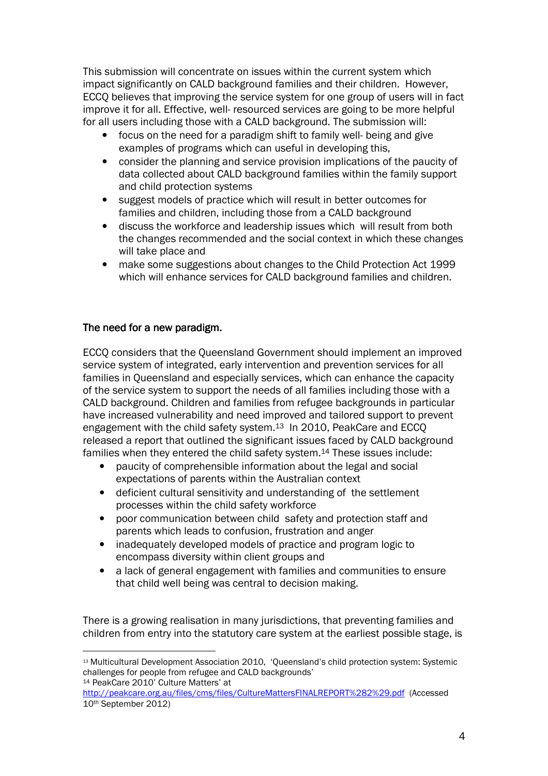This submission will concentrate on issues within the current system which impact significantly on CALD background families and their children. However, ECCQ believes that improving the service system for one group of users will in fact improve it for all. Effective, well- resourced services are going to be more helpful for all users including those with a CALD background. The submission will:

- focus on the need for a paradigm shift to family well- being and give examples of programs which can useful in developing this,
- consider the planning and service provision implications of the paucity of data collected about CALD background families within the family support and child protection systems
- suggest models of practice which will result in better outcomes for families and children, including those from a CALD background
- discuss the workforce and leadership issues which will result from both the changes recommended and the social context in which these changes will take place and
- make some suggestions about changes to the Child Protection Act 1999 which will enhance services for CALD background families and children.

#### The need for a new paradigm.

ECCQ considers that the Queensland Government should implement an improved service system of integrated, early intervention and prevention services for all families in Queensland and especially services, which can enhance the capacity of the service system to support the needs of all families including those with a CALD background. Children and families from refugee backgrounds in particular have increased vulnerability and need improved and tailored support to prevent engagement with the child safety system.<sup>13</sup> In 2010, PeakCare and ECCQ released a report that outlined the significant issues faced by CALD background families when they entered the child safety system.14 These issues include:

- paucity of comprehensible information about the legal and social expectations of parents within the Australian context
- deficient cultural sensitivity and understanding of the settlement processes within the child safety workforce
- poor communication between child safety and protection staff and parents which leads to confusion, frustration and anger
- inadequately developed models of practice and program logic to encompass diversity within client groups and
- a lack of general engagement with families and communities to ensure that child well being was central to decision making.

There is a growing realisation in many jurisdictions, that preventing families and children from entry into the statutory care system at the earliest possible stage, is

 $\overline{a}$ <sup>13</sup> Multicultural Development Association 2010, 'Queensland's child protection system: Systemic challenges for people from refugee and CALD backgrounds' <sup>14</sup> PeakCare 2010' Culture Matters' at

http://peakcare.org.au/files/cms/files/CultureMattersFINALREPORT%282%29.pdf (Accessed 10th September 2012)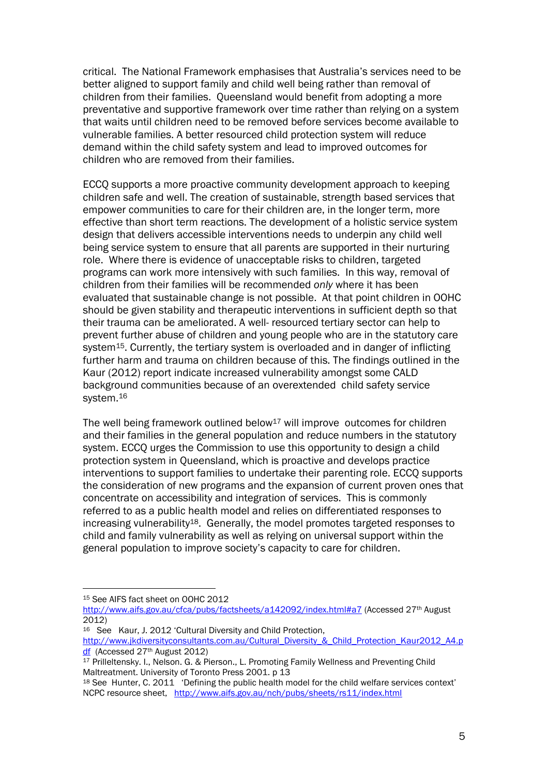critical. The National Framework emphasises that Australia's services need to be better aligned to support family and child well being rather than removal of children from their families. Queensland would benefit from adopting a more preventative and supportive framework over time rather than relying on a system that waits until children need to be removed before services become available to vulnerable families. A better resourced child protection system will reduce demand within the child safety system and lead to improved outcomes for children who are removed from their families.

ECCQ supports a more proactive community development approach to keeping children safe and well. The creation of sustainable, strength based services that empower communities to care for their children are, in the longer term, more effective than short term reactions. The development of a holistic service system design that delivers accessible interventions needs to underpin any child well being service system to ensure that all parents are supported in their nurturing role. Where there is evidence of unacceptable risks to children, targeted programs can work more intensively with such families. In this way, removal of children from their families will be recommended only where it has been evaluated that sustainable change is not possible. At that point children in OOHC should be given stability and therapeutic interventions in sufficient depth so that their trauma can be ameliorated. A well- resourced tertiary sector can help to prevent further abuse of children and young people who are in the statutory care system<sup>15</sup>. Currently, the tertiary system is overloaded and in danger of inflicting further harm and trauma on children because of this. The findings outlined in the Kaur (2012) report indicate increased vulnerability amongst some CALD background communities because of an overextended child safety service system.<sup>16</sup>

The well being framework outlined below<sup>17</sup> will improve outcomes for children and their families in the general population and reduce numbers in the statutory system. ECCQ urges the Commission to use this opportunity to design a child protection system in Queensland, which is proactive and develops practice interventions to support families to undertake their parenting role. ECCQ supports the consideration of new programs and the expansion of current proven ones that concentrate on accessibility and integration of services. This is commonly referred to as a public health model and relies on differentiated responses to increasing vulnerability18. Generally, the model promotes targeted responses to child and family vulnerability as well as relying on universal support within the general population to improve society's capacity to care for children.

<sup>15</sup> See AIFS fact sheet on OOHC 2012

http://www.aifs.gov.au/cfca/pubs/factsheets/a142092/index.html#a7 (Accessed 27<sup>th</sup> August 2012)

<sup>16</sup> See Kaur, J. 2012 'Cultural Diversity and Child Protection, http://www.jkdiversityconsultants.com.au/Cultural\_Diversity\_&\_Child\_Protection\_Kaur2012\_A4.p df (Accessed 27th August 2012)

 $17$  Prilleltensky. I., Nelson. G. & Pierson., L. Promoting Family Wellness and Preventing Child Maltreatment. University of Toronto Press 2001. p 13

<sup>18</sup> See Hunter, C. 2011 'Defining the public health model for the child welfare services context' NCPC resource sheet, http://www.aifs.gov.au/nch/pubs/sheets/rs11/index.html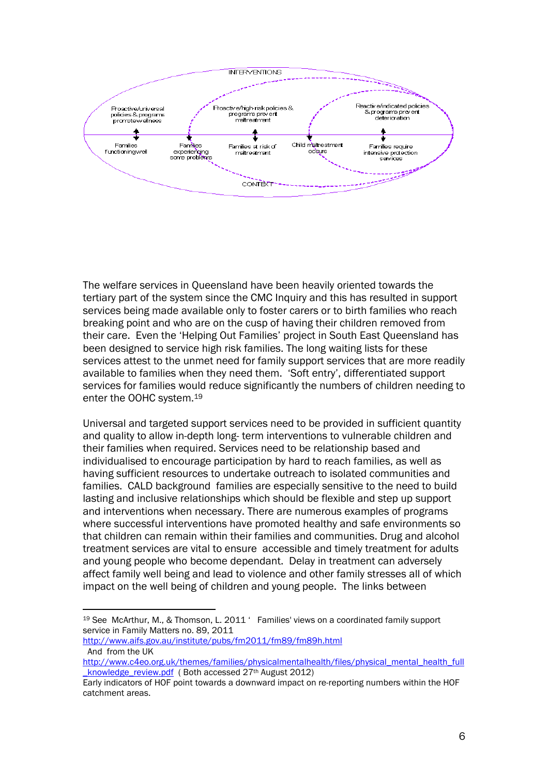

The welfare services in Queensland have been heavily oriented towards the tertiary part of the system since the CMC Inquiry and this has resulted in support services being made available only to foster carers or to birth families who reach breaking point and who are on the cusp of having their children removed from their care. Even the 'Helping Out Families' project in South East Queensland has been designed to service high risk families. The long waiting lists for these services attest to the unmet need for family support services that are more readily available to families when they need them. 'Soft entry', differentiated support services for families would reduce significantly the numbers of children needing to enter the OOHC system.<sup>19</sup>

Universal and targeted support services need to be provided in sufficient quantity and quality to allow in-depth long- term interventions to vulnerable children and their families when required. Services need to be relationship based and individualised to encourage participation by hard to reach families, as well as having sufficient resources to undertake outreach to isolated communities and families. CALD background families are especially sensitive to the need to build lasting and inclusive relationships which should be flexible and step up support and interventions when necessary. There are numerous examples of programs where successful interventions have promoted healthy and safe environments so that children can remain within their families and communities. Drug and alcohol treatment services are vital to ensure accessible and timely treatment for adults and young people who become dependant. Delay in treatment can adversely affect family well being and lead to violence and other family stresses all of which impact on the well being of children and young people. The links between

<sup>19</sup> See McArthur, M., & Thomson, L. 2011 ' Families' views on a coordinated family support service in Family Matters no. 89, 2011

http://www.aifs.gov.au/institute/pubs/fm2011/fm89/fm89h.html And from the UK

http://www.c4eo.org.uk/themes/families/physicalmentalhealth/files/physical\_mental\_health\_full knowledge\_review.pdf ( Both accessed 27<sup>th</sup> August 2012)

Early indicators of HOF point towards a downward impact on re-reporting numbers within the HOF catchment areas.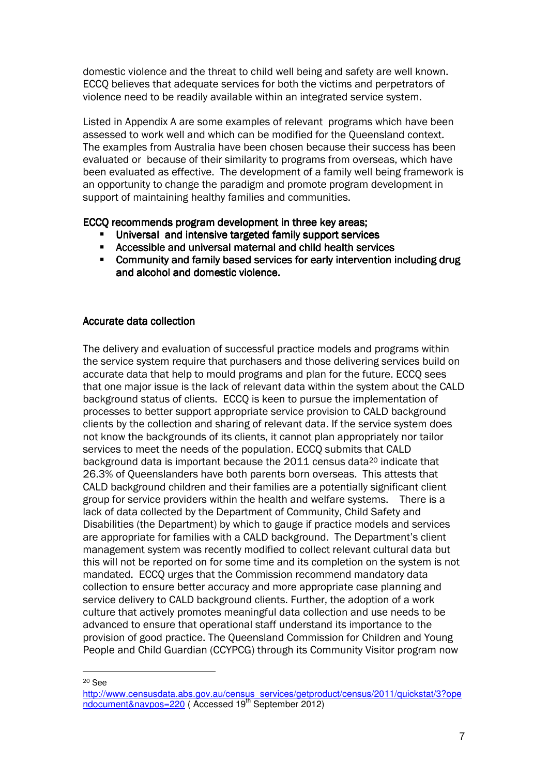domestic violence and the threat to child well being and safety are well known. ECCQ believes that adequate services for both the victims and perpetrators of violence need to be readily available within an integrated service system.

Listed in Appendix A are some examples of relevant programs which have been assessed to work well and which can be modified for the Queensland context. The examples from Australia have been chosen because their success has been evaluated or because of their similarity to programs from overseas, which have been evaluated as effective. The development of a family well being framework is an opportunity to change the paradigm and promote program development in support of maintaining healthy families and communities.

ECCO recommends program development in three key areas;

- Universal and intensive targeted family support services
- Accessible and universal maternal and child health services
- Community and family based services for early intervention including drug and alcohol and domestic violence.

#### Accurate data collection

The delivery and evaluation of successful practice models and programs within the service system require that purchasers and those delivering services build on accurate data that help to mould programs and plan for the future. ECCQ sees that one major issue is the lack of relevant data within the system about the CALD background status of clients. ECCQ is keen to pursue the implementation of processes to better support appropriate service provision to CALD background clients by the collection and sharing of relevant data. If the service system does not know the backgrounds of its clients, it cannot plan appropriately nor tailor services to meet the needs of the population. ECCO submits that CALD background data is important because the 2011 census data20 indicate that 26.3% of Queenslanders have both parents born overseas. This attests that CALD background children and their families are a potentially significant client group for service providers within the health and welfare systems. There is a lack of data collected by the Department of Community, Child Safety and Disabilities (the Department) by which to gauge if practice models and services are appropriate for families with a CALD background. The Department's client management system was recently modified to collect relevant cultural data but this will not be reported on for some time and its completion on the system is not mandated. ECCQ urges that the Commission recommend mandatory data collection to ensure better accuracy and more appropriate case planning and service delivery to CALD background clients. Further, the adoption of a work culture that actively promotes meaningful data collection and use needs to be advanced to ensure that operational staff understand its importance to the provision of good practice. The Queensland Commission for Children and Young People and Child Guardian (CCYPCG) through its Community Visitor program now

<sup>20</sup> See

http://www.censusdata.abs.gov.au/census\_services/getproduct/census/2011/quickstat/3?ope ndocument&navpos=220 (Accessed 19<sup>th</sup> September 2012)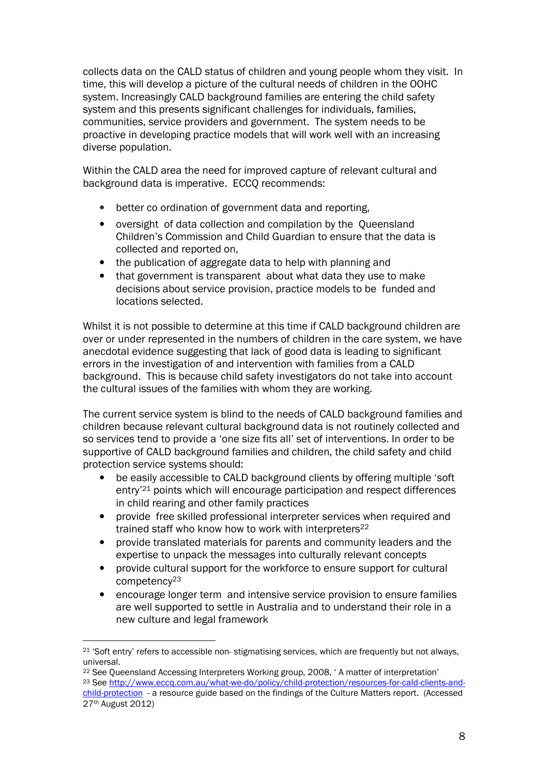collects data on the CALD status of children and young people whom they visit. In time, this will develop a picture of the cultural needs of children in the OOHC system. Increasingly CALD background families are entering the child safety system and this presents significant challenges for individuals, families, communities, service providers and government. The system needs to be proactive in developing practice models that will work well with an increasing diverse population.

Within the CALD area the need for improved capture of relevant cultural and background data is imperative. ECCQ recommends:

- better co ordination of government data and reporting,
- oversight of data collection and compilation by the Queensland Children's Commission and Child Guardian to ensure that the data is collected and reported on,
- the publication of aggregate data to help with planning and
- that government is transparent about what data they use to make decisions about service provision, practice models to be funded and locations selected.

Whilst it is not possible to determine at this time if CALD background children are over or under represented in the numbers of children in the care system, we have anecdotal evidence suggesting that lack of good data is leading to significant errors in the investigation of and intervention with families from a CALD background. This is because child safety investigators do not take into account the cultural issues of the families with whom they are working.

The current service system is blind to the needs of CALD background families and children because relevant cultural background data is not routinely collected and so services tend to provide a 'one size fits all' set of interventions. In order to be supportive of CALD background families and children, the child safety and child protection service systems should:

- be easily accessible to CALD background clients by offering multiple 'soft entry'21 points which will encourage participation and respect differences in child rearing and other family practices
- provide free skilled professional interpreter services when required and trained staff who know how to work with interpreters<sup>22</sup>
- provide translated materials for parents and community leaders and the expertise to unpack the messages into culturally relevant concepts
- provide cultural support for the workforce to ensure support for cultural competency<sup>23</sup>
- encourage longer term and intensive service provision to ensure families are well supported to settle in Australia and to understand their role in a new culture and legal framework

<sup>&</sup>lt;sup>21</sup> 'Soft entry' refers to accessible non- stigmatising services, which are frequently but not always, universal.

<sup>22</sup> See Queensland Accessing Interpreters Working group, 2008, ' A matter of interpretation' 23 See http://www.eccq.com.au/what-we-do/policy/child-protection/resources-for-cald-clients-andchild-protection - a resource guide based on the findings of the Culture Matters report. (Accessed 27th August 2012)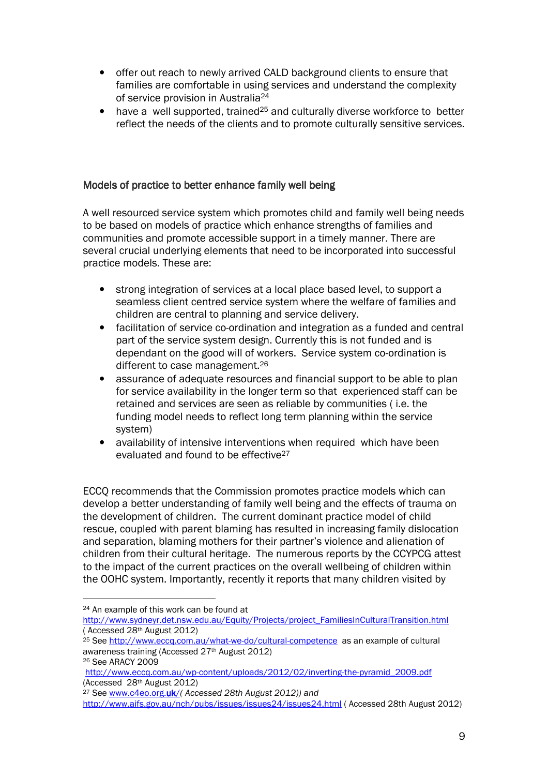- offer out reach to newly arrived CALD background clients to ensure that families are comfortable in using services and understand the complexity of service provision in Australia<sup>24</sup>
- have a well supported, trained<sup>25</sup> and culturally diverse workforce to better reflect the needs of the clients and to promote culturally sensitive services.

#### Models of practice to better enhance family well being

A well resourced service system which promotes child and family well being needs to be based on models of practice which enhance strengths of families and communities and promote accessible support in a timely manner. There are several crucial underlying elements that need to be incorporated into successful practice models. These are:

- strong integration of services at a local place based level, to support a seamless client centred service system where the welfare of families and children are central to planning and service delivery.
- facilitation of service co-ordination and integration as a funded and central part of the service system design. Currently this is not funded and is dependant on the good will of workers. Service system co-ordination is different to case management.<sup>26</sup>
- assurance of adequate resources and financial support to be able to plan for service availability in the longer term so that experienced staff can be retained and services are seen as reliable by communities ( i.e. the funding model needs to reflect long term planning within the service system)
- availability of intensive interventions when required which have been evaluated and found to be effective<sup>27</sup>

ECCQ recommends that the Commission promotes practice models which can develop a better understanding of family well being and the effects of trauma on the development of children. The current dominant practice model of child rescue, coupled with parent blaming has resulted in increasing family dislocation and separation, blaming mothers for their partner's violence and alienation of children from their cultural heritage. The numerous reports by the CCYPCG attest to the impact of the current practices on the overall wellbeing of children within the OOHC system. Importantly, recently it reports that many children visited by

<sup>24</sup> An example of this work can be found at

http://www.sydneyr.det.nsw.edu.au/Equity/Projects/project\_FamiliesInCulturalTransition.html ( Accessed 28th August 2012)

<sup>25</sup> See http://www.eccq.com.au/what-we-do/cultural-competence as an example of cultural awareness training (Accessed 27th August 2012)

<sup>26</sup> See ARACY 2009

http://www.eccq.com.au/wp-content/uploads/2012/02/inverting-the-pyramid\_2009.pdf (Accessed 28th August 2012)

<sup>&</sup>lt;sup>27</sup> See www.c4eo.org.uk/( Accessed 28th August 2012)) and

http://www.aifs.gov.au/nch/pubs/issues/issues24/issues24.html ( Accessed 28th August 2012)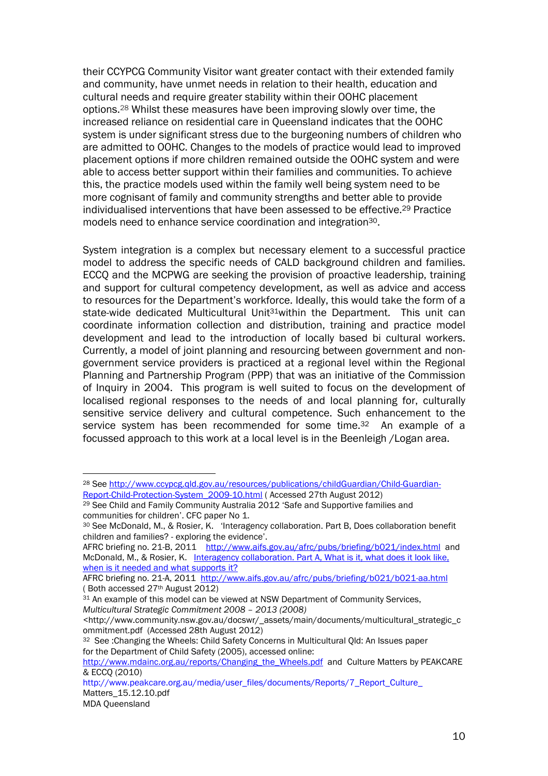their CCYPCG Community Visitor want greater contact with their extended family and community, have unmet needs in relation to their health, education and cultural needs and require greater stability within their OOHC placement options.28 Whilst these measures have been improving slowly over time, the increased reliance on residential care in Queensland indicates that the OOHC system is under significant stress due to the burgeoning numbers of children who are admitted to OOHC. Changes to the models of practice would lead to improved placement options if more children remained outside the OOHC system and were able to access better support within their families and communities. To achieve this, the practice models used within the family well being system need to be more cognisant of family and community strengths and better able to provide individualised interventions that have been assessed to be effective.29 Practice models need to enhance service coordination and integration30.

System integration is a complex but necessary element to a successful practice model to address the specific needs of CALD background children and families. ECCQ and the MCPWG are seeking the provision of proactive leadership, training and support for cultural competency development, as well as advice and access to resources for the Department's workforce. Ideally, this would take the form of a state-wide dedicated Multicultural Unit<sup>31</sup>within the Department. This unit can coordinate information collection and distribution, training and practice model development and lead to the introduction of locally based bi cultural workers. Currently, a model of joint planning and resourcing between government and nongovernment service providers is practiced at a regional level within the Regional Planning and Partnership Program (PPP) that was an initiative of the Commission of Inquiry in 2004. This program is well suited to focus on the development of localised regional responses to the needs of and local planning for, culturally sensitive service delivery and cultural competence. Such enhancement to the service system has been recommended for some time.<sup>32</sup> An example of a focussed approach to this work at a local level is in the Beenleigh /Logan area.

AFRC briefing no. 21-A, 2011 http://www.aifs.gov.au/afrc/pubs/briefing/b021/b021-aa.html ( Both accessed 27th August 2012)

<sup>28</sup> See http://www.ccypcg.qld.gov.au/resources/publications/childGuardian/Child-Guardian-Report-Child-Protection-System\_2009-10.html ( Accessed 27th August 2012)

<sup>&</sup>lt;sup>29</sup> See Child and Family Community Australia 2012 'Safe and Supportive families and communities for children'. CFC paper No 1.

<sup>30</sup> See McDonald, M., & Rosier, K. 'Interagency collaboration. Part B, Does collaboration benefit children and families? - exploring the evidence'.

AFRC briefing no. 21-B, 2011 http://www.aifs.gov.au/afrc/pubs/briefing/b021/index.html and McDonald, M., & Rosier, K. Interagency collaboration. Part A, What is it, what does it look like, when is it needed and what supports it?

<sup>31</sup> An example of this model can be viewed at NSW Department of Community Services, Multicultural Strategic Commitment 2008 – 2013 (2008)

<sup>&</sup>lt;http://www.community.nsw.gov.au/docswr/\_assets/main/documents/multicultural\_strategic\_c ommitment.pdf (Accessed 28th August 2012)

<sup>&</sup>lt;sup>32</sup> See : Changing the Wheels: Child Safety Concerns in Multicultural Old: An Issues paper for the Department of Child Safety (2005), accessed online:

http://www.mdainc.org.au/reports/Changing\_the\_Wheels.pdf and Culture Matters by PEAKCARE & ECCQ (2010)

http://www.peakcare.org.au/media/user\_files/documents/Reports/7\_Report\_Culture Matters\_15.12.10.pdf

MDA Queensland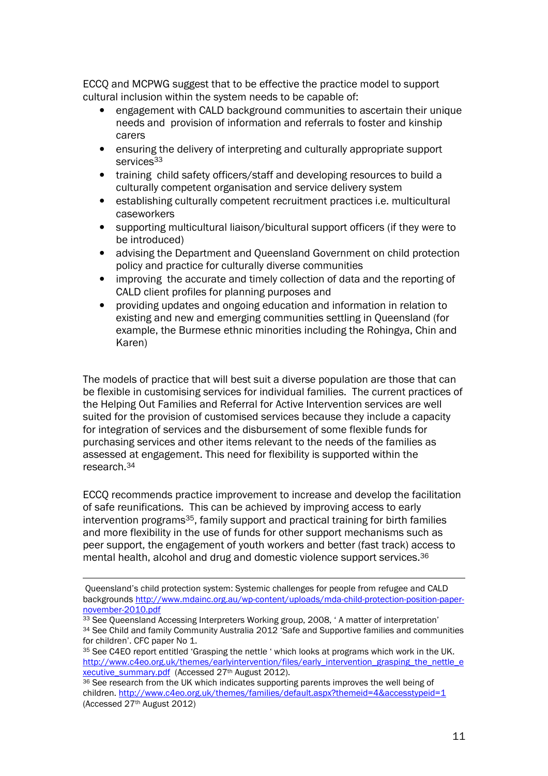ECCQ and MCPWG suggest that to be effective the practice model to support cultural inclusion within the system needs to be capable of:

- engagement with CALD background communities to ascertain their unique needs and provision of information and referrals to foster and kinship carers
- ensuring the delivery of interpreting and culturally appropriate support services<sup>33</sup>
- training child safety officers/staff and developing resources to build a culturally competent organisation and service delivery system
- establishing culturally competent recruitment practices i.e. multicultural caseworkers
- supporting multicultural liaison/bicultural support officers (if they were to be introduced)
- advising the Department and Queensland Government on child protection policy and practice for culturally diverse communities
- improving the accurate and timely collection of data and the reporting of CALD client profiles for planning purposes and
- providing updates and ongoing education and information in relation to existing and new and emerging communities settling in Queensland (for example, the Burmese ethnic minorities including the Rohingya, Chin and Karen)

The models of practice that will best suit a diverse population are those that can be flexible in customising services for individual families. The current practices of the Helping Out Families and Referral for Active Intervention services are well suited for the provision of customised services because they include a capacity for integration of services and the disbursement of some flexible funds for purchasing services and other items relevant to the needs of the families as assessed at engagement. This need for flexibility is supported within the research.<sup>34</sup>

ECCQ recommends practice improvement to increase and develop the facilitation of safe reunifications. This can be achieved by improving access to early intervention programs35, family support and practical training for birth families and more flexibility in the use of funds for other support mechanisms such as peer support, the engagement of youth workers and better (fast track) access to mental health, alcohol and drug and domestic violence support services.<sup>36</sup>

Queensland's child protection system: Systemic challenges for people from refugee and CALD backgrounds http://www.mdainc.org.au/wp-content/uploads/mda-child-protection-position-papernovember-2010.pdf

<sup>33</sup> See Queensland Accessing Interpreters Working group, 2008, ' A matter of interpretation' <sup>34</sup> See Child and family Community Australia 2012 'Safe and Supportive families and communities for children'. CFC paper No 1.

<sup>&</sup>lt;sup>35</sup> See C4EO report entitled 'Grasping the nettle ' which looks at programs which work in the UK. http://www.c4eo.org.uk/themes/earlyintervention/files/early\_intervention\_grasping\_the\_nettle\_e xecutive\_summary.pdf (Accessed 27th August 2012).

<sup>&</sup>lt;sup>36</sup> See research from the UK which indicates supporting parents improves the well being of children. http://www.c4eo.org.uk/themes/families/default.aspx?themeid=4&accesstypeid=1 (Accessed 27th August 2012)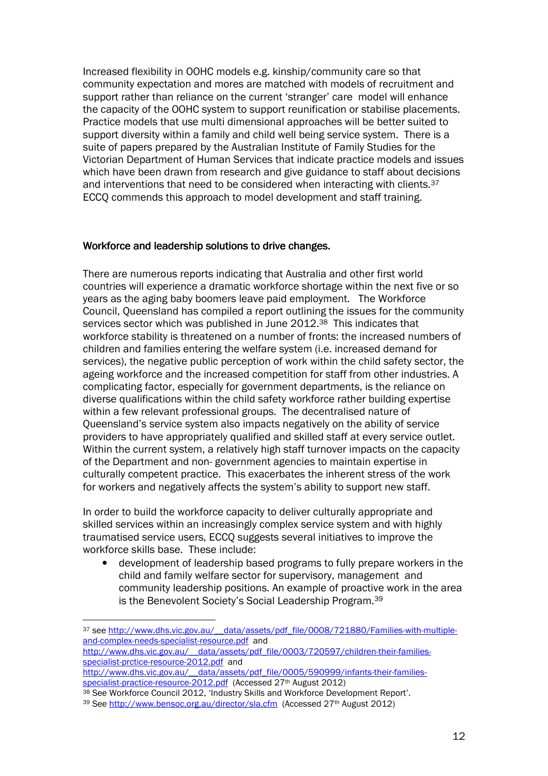Increased flexibility in OOHC models e.g. kinship/community care so that community expectation and mores are matched with models of recruitment and support rather than reliance on the current 'stranger' care model will enhance the capacity of the OOHC system to support reunification or stabilise placements. Practice models that use multi dimensional approaches will be better suited to support diversity within a family and child well being service system. There is a suite of papers prepared by the Australian Institute of Family Studies for the Victorian Department of Human Services that indicate practice models and issues which have been drawn from research and give guidance to staff about decisions and interventions that need to be considered when interacting with clients.<sup>37</sup> ECCQ commends this approach to model development and staff training.

#### Workforce and leadership solutions to drive changes.

There are numerous reports indicating that Australia and other first world countries will experience a dramatic workforce shortage within the next five or so years as the aging baby boomers leave paid employment. The Workforce Council, Queensland has compiled a report outlining the issues for the community services sector which was published in June 2012.38 This indicates that workforce stability is threatened on a number of fronts: the increased numbers of children and families entering the welfare system (i.e. increased demand for services), the negative public perception of work within the child safety sector, the ageing workforce and the increased competition for staff from other industries. A complicating factor, especially for government departments, is the reliance on diverse qualifications within the child safety workforce rather building expertise within a few relevant professional groups. The decentralised nature of Queensland's service system also impacts negatively on the ability of service providers to have appropriately qualified and skilled staff at every service outlet. Within the current system, a relatively high staff turnover impacts on the capacity of the Department and non- government agencies to maintain expertise in culturally competent practice. This exacerbates the inherent stress of the work for workers and negatively affects the system's ability to support new staff.

In order to build the workforce capacity to deliver culturally appropriate and skilled services within an increasingly complex service system and with highly traumatised service users, ECCQ suggests several initiatives to improve the workforce skills base. These include:

• development of leadership based programs to fully prepare workers in the child and family welfare sector for supervisory, management and community leadership positions. An example of proactive work in the area is the Benevolent Society's Social Leadership Program.<sup>39</sup>

<sup>37</sup> see http://www.dhs.vic.gov.au/ data/assets/pdf\_file/0008/721880/Families-with-multipleand-complex-needs-specialist-resource.pdf and

http://www.dhs.vic.gov.au/\_\_data/assets/pdf\_file/0003/720597/children-their-familiesspecialist-prctice-resource-2012.pdf and

http://www.dhs.vic.gov.au/ data/assets/pdf\_file/0005/590999/infants-their-familiesspecialist-practice-resource-2012.pdf (Accessed 27<sup>th</sup> August 2012)

<sup>38</sup> See Workforce Council 2012, 'Industry Skills and Workforce Development Report'.

<sup>39</sup> See http://www.bensoc.org.au/director/sla.cfm (Accessed 27th August 2012)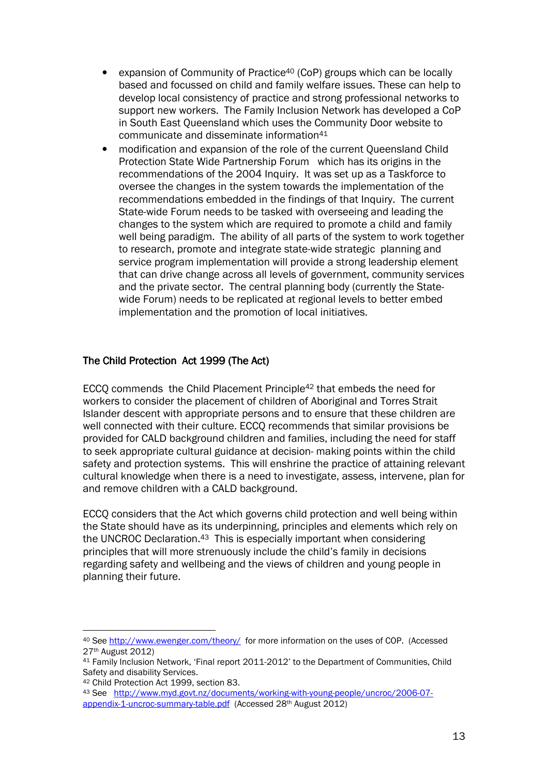- expansion of Community of Practice<sup>40</sup> (CoP) groups which can be locally based and focussed on child and family welfare issues. These can help to develop local consistency of practice and strong professional networks to support new workers. The Family Inclusion Network has developed a CoP in South East Queensland which uses the Community Door website to communicate and disseminate information<sup>41</sup>
- modification and expansion of the role of the current Queensland Child Protection State Wide Partnership Forum which has its origins in the recommendations of the 2004 Inquiry. It was set up as a Taskforce to oversee the changes in the system towards the implementation of the recommendations embedded in the findings of that Inquiry. The current State-wide Forum needs to be tasked with overseeing and leading the changes to the system which are required to promote a child and family well being paradigm. The ability of all parts of the system to work together to research, promote and integrate state-wide strategic planning and service program implementation will provide a strong leadership element that can drive change across all levels of government, community services and the private sector. The central planning body (currently the Statewide Forum) needs to be replicated at regional levels to better embed implementation and the promotion of local initiatives.

#### The Child Protection Act 1999 (The Act)

ECCQ commends the Child Placement Principle<sup>42</sup> that embeds the need for workers to consider the placement of children of Aboriginal and Torres Strait Islander descent with appropriate persons and to ensure that these children are well connected with their culture. ECCQ recommends that similar provisions be provided for CALD background children and families, including the need for staff to seek appropriate cultural guidance at decision- making points within the child safety and protection systems. This will enshrine the practice of attaining relevant cultural knowledge when there is a need to investigate, assess, intervene, plan for and remove children with a CALD background.

ECCQ considers that the Act which governs child protection and well being within the State should have as its underpinning, principles and elements which rely on the UNCROC Declaration.43 This is especially important when considering principles that will more strenuously include the child's family in decisions regarding safety and wellbeing and the views of children and young people in planning their future.

<sup>40</sup> See http://www.ewenger.com/theory/ for more information on the uses of COP. (Accessed 27th August 2012)

<sup>41</sup> Family Inclusion Network, 'Final report 2011-2012' to the Department of Communities, Child Safety and disability Services.

<sup>42</sup> Child Protection Act 1999, section 83.

<sup>43</sup> See http://www.myd.govt.nz/documents/working-with-young-people/uncroc/2006-07-

appendix-1-uncroc-summary-table.pdf (Accessed 28th August 2012)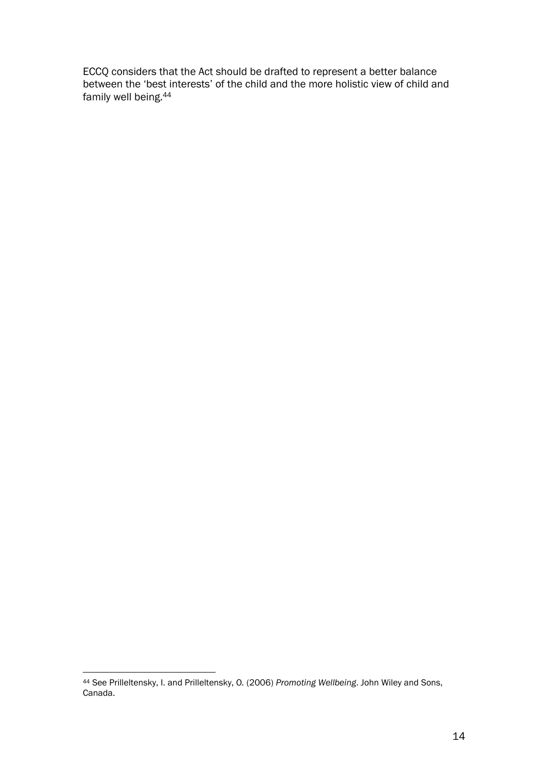ECCQ considers that the Act should be drafted to represent a better balance between the 'best interests' of the child and the more holistic view of child and family well being.<sup>44</sup>

 $\overline{a}$ <sup>44</sup> See Prilleltensky, I. and Prilleltensky, O. (2006) Promoting Wellbeing. John Wiley and Sons, Canada.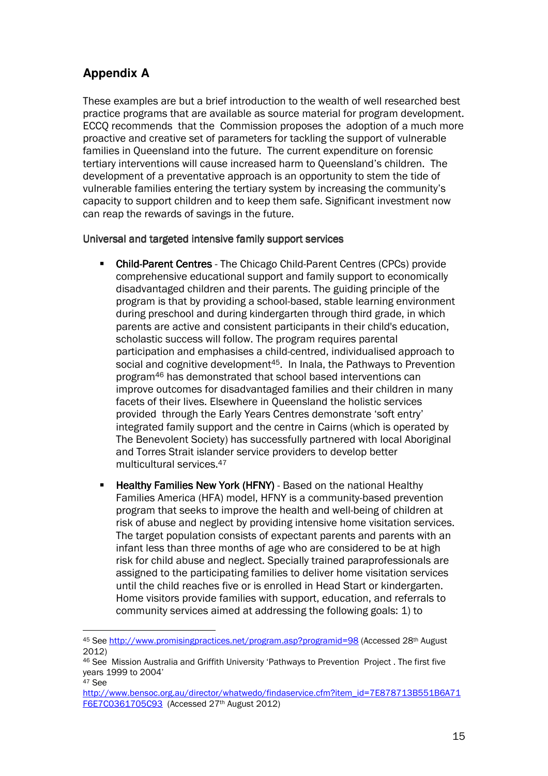### **Appendix A**

 $\overline{a}$ 

These examples are but a brief introduction to the wealth of well researched best practice programs that are available as source material for program development. ECCQ recommends that the Commission proposes the adoption of a much more proactive and creative set of parameters for tackling the support of vulnerable families in Queensland into the future. The current expenditure on forensic tertiary interventions will cause increased harm to Queensland's children. The development of a preventative approach is an opportunity to stem the tide of vulnerable families entering the tertiary system by increasing the community's capacity to support children and to keep them safe. Significant investment now can reap the rewards of savings in the future.

#### Universal and targeted intensive family support services

- **Child-Parent Centres** The Chicago Child-Parent Centres (CPCs) provide comprehensive educational support and family support to economically disadvantaged children and their parents. The guiding principle of the program is that by providing a school-based, stable learning environment during preschool and during kindergarten through third grade, in which parents are active and consistent participants in their child's education, scholastic success will follow. The program requires parental participation and emphasises a child-centred, individualised approach to social and cognitive development<sup>45</sup>. In Inala, the Pathways to Prevention program46 has demonstrated that school based interventions can improve outcomes for disadvantaged families and their children in many facets of their lives. Elsewhere in Queensland the holistic services provided through the Early Years Centres demonstrate 'soft entry' integrated family support and the centre in Cairns (which is operated by The Benevolent Society) has successfully partnered with local Aboriginal and Torres Strait islander service providers to develop better multicultural services.<sup>47</sup>
- Healthy Families New York (HFNY) Based on the national Healthy Families America (HFA) model, HFNY is a community-based prevention program that seeks to improve the health and well-being of children at risk of abuse and neglect by providing intensive home visitation services. The target population consists of expectant parents and parents with an infant less than three months of age who are considered to be at high risk for child abuse and neglect. Specially trained paraprofessionals are assigned to the participating families to deliver home visitation services until the child reaches five or is enrolled in Head Start or kindergarten. Home visitors provide families with support, education, and referrals to community services aimed at addressing the following goals: 1) to

<sup>45</sup> See http://www.promisingpractices.net/program.asp?programid=98 (Accessed 28th August 2012)

<sup>46</sup> See Mission Australia and Griffith University 'Pathways to Prevention Project . The first five years 1999 to 2004' <sup>47</sup> See

http://www.bensoc.org.au/director/whatwedo/findaservice.cfm?item\_id=7E878713B551B6A71 F6E7C0361705C93 (Accessed 27th August 2012)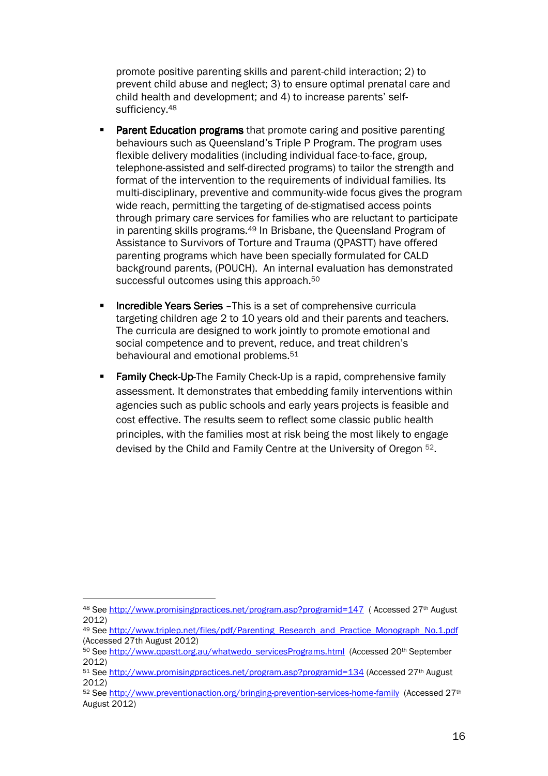promote positive parenting skills and parent-child interaction; 2) to prevent child abuse and neglect; 3) to ensure optimal prenatal care and child health and development; and 4) to increase parents' selfsufficiency.<sup>48</sup>

- Parent Education programs that promote caring and positive parenting behaviours such as Queensland's Triple P Program. The program uses flexible delivery modalities (including individual face-to-face, group, telephone-assisted and self-directed programs) to tailor the strength and format of the intervention to the requirements of individual families. Its multi-disciplinary, preventive and community-wide focus gives the program wide reach, permitting the targeting of de-stigmatised access points through primary care services for families who are reluctant to participate in parenting skills programs.<sup>49</sup> In Brisbane, the Queensland Program of Assistance to Survivors of Torture and Trauma (QPASTT) have offered parenting programs which have been specially formulated for CALD background parents, (POUCH). An internal evaluation has demonstrated successful outcomes using this approach.<sup>50</sup>
- Incredible Years Series This is a set of comprehensive curricula targeting children age 2 to 10 years old and their parents and teachers. The curricula are designed to work jointly to promote emotional and social competence and to prevent, reduce, and treat children's behavioural and emotional problems.<sup>51</sup>
- Family Check-Up-The Family Check-Up is a rapid, comprehensive family assessment. It demonstrates that embedding family interventions within agencies such as public schools and early years projects is feasible and cost effective. The results seem to reflect some classic public health principles, with the families most at risk being the most likely to engage devised by the Child and Family Centre at the University of Oregon 52.

<sup>48</sup> See http://www.promisingpractices.net/program.asp?programid=147 (Accessed 27<sup>th</sup> August 2012)

<sup>49</sup> See http://www.triplep.net/files/pdf/Parenting\_Research\_and\_Practice\_Monograph\_No.1.pdf (Accessed 27th August 2012)

<sup>50</sup> See http://www.qpastt.org.au/whatwedo\_servicesPrograms.html (Accessed 20th September 2012)

<sup>51</sup> See http://www.promisingpractices.net/program.asp?programid=134 (Accessed 27<sup>th</sup> August 2012)

<sup>52</sup> See http://www.preventionaction.org/bringing-prevention-services-home-family (Accessed 27th August 2012)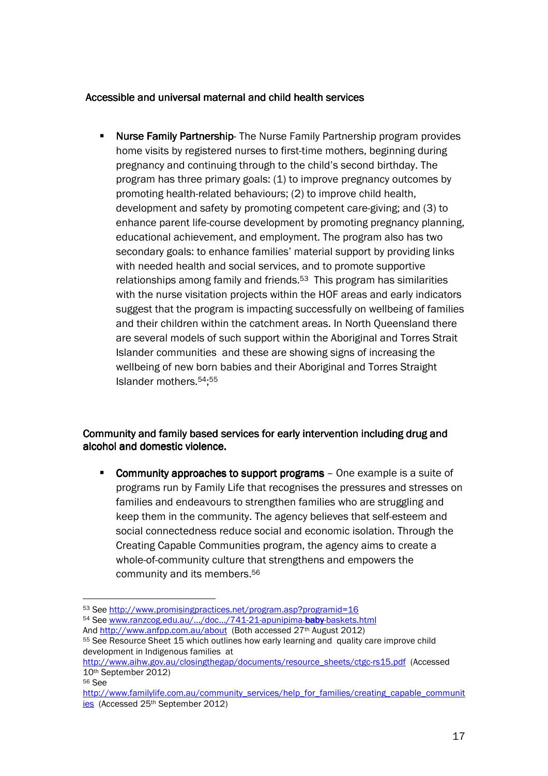#### Accessible and universal maternal and child health services

• Nurse Family Partnership- The Nurse Family Partnership program provides home visits by registered nurses to first-time mothers, beginning during pregnancy and continuing through to the child's second birthday. The program has three primary goals: (1) to improve pregnancy outcomes by promoting health-related behaviours; (2) to improve child health, development and safety by promoting competent care-giving; and (3) to enhance parent life-course development by promoting pregnancy planning, educational achievement, and employment. The program also has two secondary goals: to enhance families' material support by providing links with needed health and social services, and to promote supportive relationships among family and friends.53 This program has similarities with the nurse visitation projects within the HOF areas and early indicators suggest that the program is impacting successfully on wellbeing of families and their children within the catchment areas. In North Queensland there are several models of such support within the Aboriginal and Torres Strait Islander communities and these are showing signs of increasing the wellbeing of new born babies and their Aboriginal and Torres Straight Islander mothers.54; 55

#### Community and family based services for early intervention including drug and alcohol and domestic violence.

Community approaches to support programs  $-$  One example is a suite of programs run by Family Life that recognises the pressures and stresses on families and endeavours to strengthen families who are struggling and keep them in the community. The agency believes that self-esteem and social connectedness reduce social and economic isolation. Through the Creating Capable Communities program, the agency aims to create a whole-of-community culture that strengthens and empowers the community and its members.<sup>56</sup>

<sup>53</sup> See http://www.promisingpractices.net/program.asp?programid=16

<sup>54</sup> See www.ranzcog.edu.au/.../doc.../741-21-apunipima-baby-baskets.html And http://www.anfpp.com.au/about (Both accessed 27<sup>th</sup> August 2012)

<sup>&</sup>lt;sup>55</sup> See Resource Sheet 15 which outlines how early learning and quality care improve child development in Indigenous families at

http://www.aihw.gov.au/closingthegap/documents/resource\_sheets/ctgc-rs15.pdf (Accessed 10th September 2012)

<sup>56</sup> See

http://www.familylife.com.au/community\_services/help\_for\_families/creating\_capable\_communit ies (Accessed 25th September 2012)